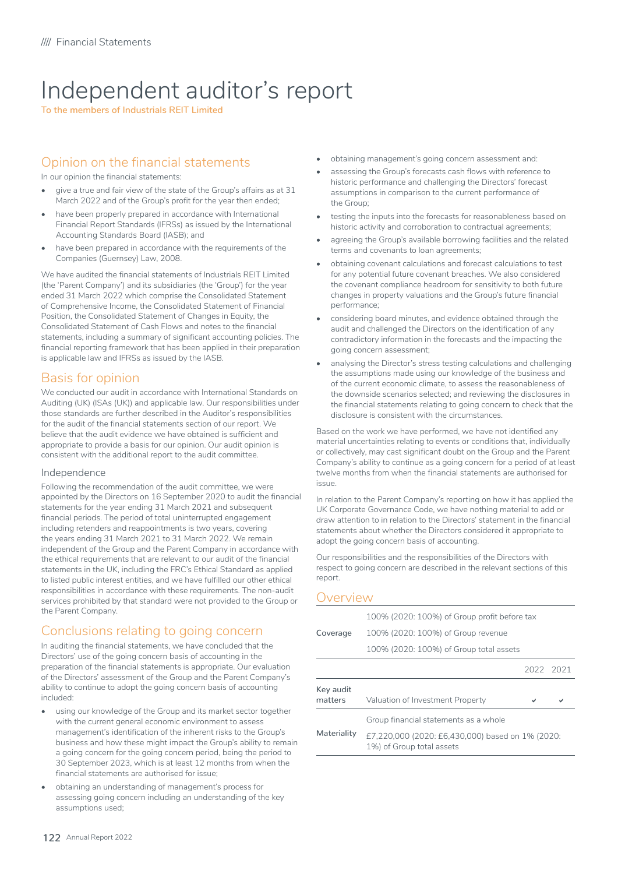# Independent auditor's report

**To the members of Industrials REIT Limited**

### Opinion on the financial statements

In our opinion the financial statements:

- give a true and fair view of the state of the Group's affairs as at 31 March 2022 and of the Group's profit for the year then ended;
- have been properly prepared in accordance with International Financial Report Standards (IFRSs) as issued by the International Accounting Standards Board (IASB); and
- have been prepared in accordance with the requirements of the Companies (Guernsey) Law, 2008.

We have audited the financial statements of Industrials REIT Limited (the 'Parent Company') and its subsidiaries (the 'Group') for the year ended 31 March 2022 which comprise the Consolidated Statement of Comprehensive Income, the Consolidated Statement of Financial Position, the Consolidated Statement of Changes in Equity, the Consolidated Statement of Cash Flows and notes to the financial statements, including a summary of significant accounting policies. The financial reporting framework that has been applied in their preparation is applicable law and IFRSs as issued by the IASB.

## Basis for opinion

We conducted our audit in accordance with International Standards on Auditing (UK) (ISAs (UK)) and applicable law. Our responsibilities under those standards are further described in the Auditor's responsibilities for the audit of the financial statements section of our report. We believe that the audit evidence we have obtained is sufficient and appropriate to provide a basis for our opinion. Our audit opinion is consistent with the additional report to the audit committee.

#### Independence

Following the recommendation of the audit committee, we were appointed by the Directors on 16 September 2020 to audit the financial statements for the year ending 31 March 2021 and subsequent financial periods. The period of total uninterrupted engagement including retenders and reappointments is two years, covering the years ending 31 March 2021 to 31 March 2022. We remain independent of the Group and the Parent Company in accordance with the ethical requirements that are relevant to our audit of the financial statements in the UK, including the FRC's Ethical Standard as applied to listed public interest entities, and we have fulfilled our other ethical responsibilities in accordance with these requirements. The non-audit services prohibited by that standard were not provided to the Group or the Parent Company.

# Conclusions relating to going concern

In auditing the financial statements, we have concluded that the Directors' use of the going concern basis of accounting in the preparation of the financial statements is appropriate. Our evaluation of the Directors' assessment of the Group and the Parent Company's ability to continue to adopt the going concern basis of accounting included:

- using our knowledge of the Group and its market sector together with the current general economic environment to assess management's identification of the inherent risks to the Group's business and how these might impact the Group's ability to remain a going concern for the going concern period, being the period to 30 September 2023, which is at least 12 months from when the financial statements are authorised for issue;
- obtaining an understanding of management's process for assessing going concern including an understanding of the key assumptions used;
- obtaining management's going concern assessment and:
- assessing the Group's forecasts cash flows with reference to historic performance and challenging the Directors' forecast assumptions in comparison to the current performance of the Group;
- testing the inputs into the forecasts for reasonableness based on historic activity and corroboration to contractual agreements;
- agreeing the Group's available borrowing facilities and the related terms and covenants to loan agreements;
- obtaining covenant calculations and forecast calculations to test for any potential future covenant breaches. We also considered the covenant compliance headroom for sensitivity to both future changes in property valuations and the Group's future financial performance;
- considering board minutes, and evidence obtained through the audit and challenged the Directors on the identification of any contradictory information in the forecasts and the impacting the going concern assessment;
- analysing the Director's stress testing calculations and challenging the assumptions made using our knowledge of the business and of the current economic climate, to assess the reasonableness of the downside scenarios selected; and reviewing the disclosures in the financial statements relating to going concern to check that the disclosure is consistent with the circumstances.

Based on the work we have performed, we have not identified any material uncertainties relating to events or conditions that, individually or collectively, may cast significant doubt on the Group and the Parent Company's ability to continue as a going concern for a period of at least twelve months from when the financial statements are authorised for issue.

In relation to the Parent Company's reporting on how it has applied the UK Corporate Governance Code, we have nothing material to add or draw attention to in relation to the Directors' statement in the financial statements about whether the Directors considered it appropriate to adopt the going concern basis of accounting.

Our responsibilities and the responsibilities of the Directors with respect to going concern are described in the relevant sections of this report.

#### Overview

| Materiality          | Group financial statements as a whole<br>£7.220.000 (2020; £6.430.000) based on 1% (2020; |  |           |  |  |
|----------------------|-------------------------------------------------------------------------------------------|--|-----------|--|--|
| Key audit<br>matters | Valuation of Investment Property                                                          |  |           |  |  |
|                      |                                                                                           |  | 2022 2021 |  |  |
|                      | 100% (2020: 100%) of Group total assets                                                   |  |           |  |  |
| Coverage             | 100% (2020: 100%) of Group revenue                                                        |  |           |  |  |
|                      | 100% (2020: 100%) of Group profit before tax                                              |  |           |  |  |

| nateriality | £7,220,000 (2020: £6,430,000) based on 1% (2020: |
|-------------|--------------------------------------------------|
|             | 1%) of Group total assets                        |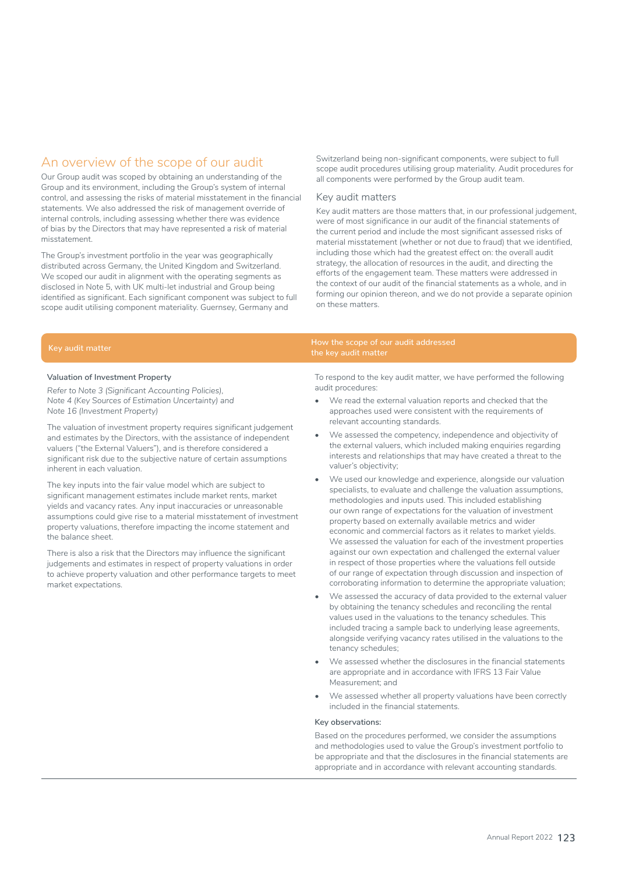# An overview of the scope of our audit

Our Group audit was scoped by obtaining an understanding of the Group and its environment, including the Group's system of internal control, and assessing the risks of material misstatement in the financial statements. We also addressed the risk of management override of internal controls, including assessing whether there was evidence of bias by the Directors that may have represented a risk of material misstatement.

The Group's investment portfolio in the year was geographically distributed across Germany, the United Kingdom and Switzerland. We scoped our audit in alignment with the operating segments as disclosed in Note 5, with UK multi-let industrial and Group being identified as significant. Each significant component was subject to full scope audit utilising component materiality. Guernsey, Germany and

Switzerland being non-significant components, were subject to full scope audit procedures utilising group materiality. Audit procedures for all components were performed by the Group audit team.

#### Key audit matters

the key audit matter

Key audit matters are those matters that, in our professional judgement, were of most significance in our audit of the financial statements of the current period and include the most significant assessed risks of material misstatement (whether or not due to fraud) that we identified, including those which had the greatest effect on: the overall audit strategy, the allocation of resources in the audit, and directing the efforts of the engagement team. These matters were addressed in the context of our audit of the financial statements as a whole, and in forming our opinion thereon, and we do not provide a separate opinion on these matters.

# Key audit matter How the scope of our audit addressed

#### **Valuation of Investment Property**

*Refer to Note 3 (Significant Accounting Policies), Note 4 (Key Sources of Estimation Uncertainty) and Note 16 (Investment Property)*

The valuation of investment property requires significant judgement and estimates by the Directors, with the assistance of independent valuers ("the External Valuers"), and is therefore considered a significant risk due to the subjective nature of certain assumptions inherent in each valuation.

The key inputs into the fair value model which are subject to significant management estimates include market rents, market yields and vacancy rates. Any input inaccuracies or unreasonable assumptions could give rise to a material misstatement of investment property valuations, therefore impacting the income statement and the balance sheet.

There is also a risk that the Directors may influence the significant judgements and estimates in respect of property valuations in order to achieve property valuation and other performance targets to meet market expectations.

To respond to the key audit matter, we have performed the following audit procedures:

- We read the external valuation reports and checked that the approaches used were consistent with the requirements of relevant accounting standards.
- We assessed the competency, independence and objectivity of the external valuers, which included making enquiries regarding interests and relationships that may have created a threat to the valuer's objectivity;
- We used our knowledge and experience, alongside our valuation specialists, to evaluate and challenge the valuation assumptions, methodologies and inputs used. This included establishing our own range of expectations for the valuation of investment property based on externally available metrics and wider economic and commercial factors as it relates to market yields. We assessed the valuation for each of the investment properties against our own expectation and challenged the external valuer in respect of those properties where the valuations fell outside of our range of expectation through discussion and inspection of corroborating information to determine the appropriate valuation;
- We assessed the accuracy of data provided to the external valuer by obtaining the tenancy schedules and reconciling the rental values used in the valuations to the tenancy schedules. This included tracing a sample back to underlying lease agreements, alongside verifying vacancy rates utilised in the valuations to the tenancy schedules;
- We assessed whether the disclosures in the financial statements are appropriate and in accordance with IFRS 13 Fair Value Measurement; and
- We assessed whether all property valuations have been correctly included in the financial statements.

#### **Key observations:**

Based on the procedures performed, we consider the assumptions and methodologies used to value the Group's investment portfolio to be appropriate and that the disclosures in the financial statements are appropriate and in accordance with relevant accounting standards.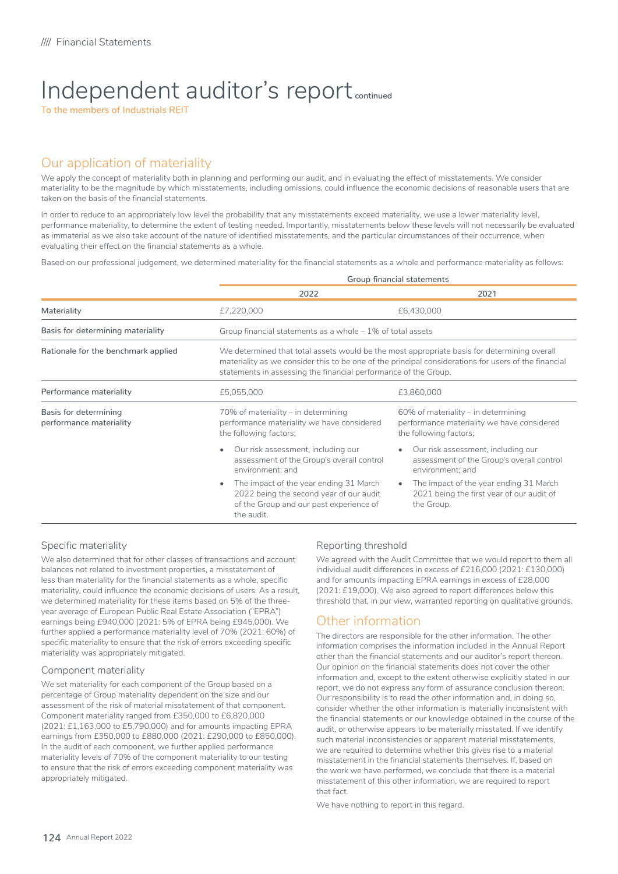# Independent auditor's report **continued**

**To the members of Industrials REIT**

# Our application of materiality

We apply the concept of materiality both in planning and performing our audit, and in evaluating the effect of misstatements. We consider materiality to be the magnitude by which misstatements, including omissions, could influence the economic decisions of reasonable users that are taken on the basis of the financial statements.

In order to reduce to an appropriately low level the probability that any misstatements exceed materiality, we use a lower materiality level, performance materiality, to determine the extent of testing needed. Importantly, misstatements below these levels will not necessarily be evaluated as immaterial as we also take account of the nature of identified misstatements, and the particular circumstances of their occurrence, when evaluating their effect on the financial statements as a whole.

Based on our professional judgement, we determined materiality for the financial statements as a whole and performance materiality as follows:

|                                                  | Group financial statements                                                                                                                                                                                                                                             |                                                                                                                |  |  |
|--------------------------------------------------|------------------------------------------------------------------------------------------------------------------------------------------------------------------------------------------------------------------------------------------------------------------------|----------------------------------------------------------------------------------------------------------------|--|--|
|                                                  | 2022                                                                                                                                                                                                                                                                   | 2021                                                                                                           |  |  |
| Materiality                                      | £7,220,000                                                                                                                                                                                                                                                             | £6,430,000                                                                                                     |  |  |
| Basis for determining materiality                | Group financial statements as a whole - 1% of total assets                                                                                                                                                                                                             |                                                                                                                |  |  |
| Rationale for the benchmark applied              | We determined that total assets would be the most appropriate basis for determining overall<br>materiality as we consider this to be one of the principal considerations for users of the financial<br>statements in assessing the financial performance of the Group. |                                                                                                                |  |  |
| Performance materiality                          | £5,055,000                                                                                                                                                                                                                                                             | £3,860,000                                                                                                     |  |  |
| Basis for determining<br>performance materiality | 70% of materiality – in determining<br>performance materiality we have considered<br>the following factors;                                                                                                                                                            | $60\%$ of materiality – in determining<br>performance materiality we have considered<br>the following factors; |  |  |
|                                                  | Our risk assessment, including our<br>assessment of the Group's overall control<br>environment; and                                                                                                                                                                    | Our risk assessment, including our<br>assessment of the Group's overall control<br>environment; and            |  |  |
|                                                  | The impact of the year ending 31 March<br>2022 being the second year of our audit<br>of the Group and our past experience of<br>the audit.                                                                                                                             | The impact of the year ending 31 March<br>2021 being the first year of our audit of<br>the Group.              |  |  |

#### Specific materiality

We also determined that for other classes of transactions and account balances not related to investment properties, a misstatement of less than materiality for the financial statements as a whole, specific materiality, could influence the economic decisions of users. As a result, we determined materiality for these items based on 5% of the threeyear average of European Public Real Estate Association ("EPRA") earnings being £940,000 (2021: 5% of EPRA being £945,000). We further applied a performance materiality level of 70% (2021: 60%) of specific materiality to ensure that the risk of errors exceeding specific materiality was appropriately mitigated.

#### Component materiality

We set materiality for each component of the Group based on a percentage of Group materiality dependent on the size and our assessment of the risk of material misstatement of that component. Component materiality ranged from £350,000 to £6,820,000 (2021: £1,163,000 to £5,790,000) and for amounts impacting EPRA earnings from £350,000 to £880,000 (2021: £290,000 to £850,000). In the audit of each component, we further applied performance materiality levels of 70% of the component materiality to our testing to ensure that the risk of errors exceeding component materiality was appropriately mitigated.

#### Reporting threshold

We agreed with the Audit Committee that we would report to them all individual audit differences in excess of £216,000 (2021: £130,000) and for amounts impacting EPRA earnings in excess of £28,000 (2021: £19,000). We also agreed to report differences below this threshold that, in our view, warranted reporting on qualitative grounds.

### Other information

The directors are responsible for the other information. The other information comprises the information included in the Annual Report other than the financial statements and our auditor's report thereon. Our opinion on the financial statements does not cover the other information and, except to the extent otherwise explicitly stated in our report, we do not express any form of assurance conclusion thereon. Our responsibility is to read the other information and, in doing so, consider whether the other information is materially inconsistent with the financial statements or our knowledge obtained in the course of the audit, or otherwise appears to be materially misstated. If we identify such material inconsistencies or apparent material misstatements, we are required to determine whether this gives rise to a material misstatement in the financial statements themselves. If, based on the work we have performed, we conclude that there is a material misstatement of this other information, we are required to report that fact.

We have nothing to report in this regard.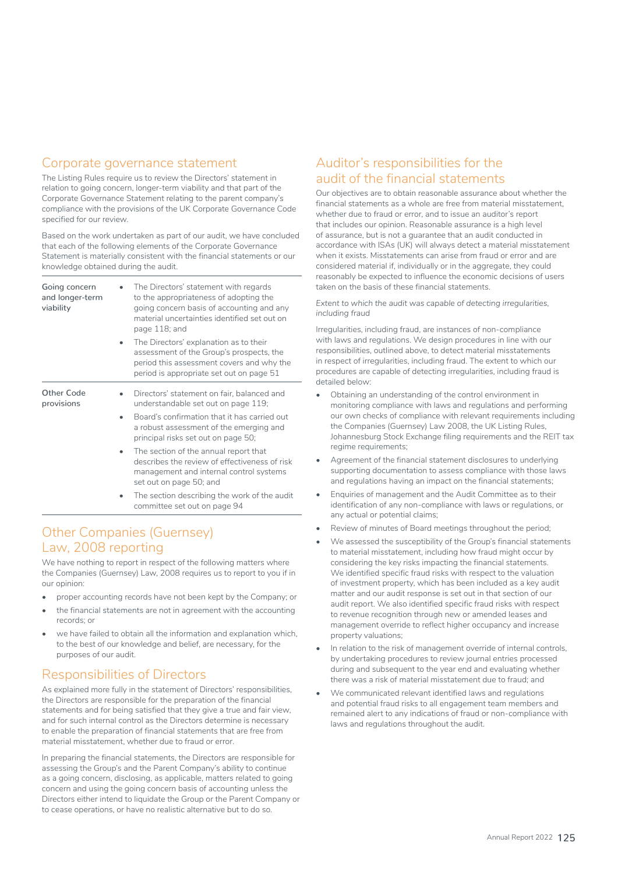## Corporate governance statement

The Listing Rules require us to review the Directors' statement in relation to going concern, longer-term viability and that part of the Corporate Governance Statement relating to the parent company's compliance with the provisions of the UK Corporate Governance Code specified for our review.

Based on the work undertaken as part of our audit, we have concluded that each of the following elements of the Corporate Governance Statement is materially consistent with the financial statements or our knowledge obtained during the audit.

| Going concern<br>and longer-term<br>viability | The Directors' statement with regards<br>to the appropriateness of adopting the<br>going concern basis of accounting and any<br>material uncertainties identified set out on<br>page 118; and |
|-----------------------------------------------|-----------------------------------------------------------------------------------------------------------------------------------------------------------------------------------------------|
|                                               | The Directors' explanation as to their<br>assessment of the Group's prospects, the<br>period this assessment covers and why the<br>period is appropriate set out on page 51                   |
| Other Code<br>provisions                      | Directors' statement on fair, balanced and<br>understandable set out on page 119;                                                                                                             |
|                                               | Board's confirmation that it has carried out<br>a robust assessment of the emerging and<br>principal risks set out on page 50;                                                                |
|                                               | The section of the annual report that<br>describes the review of effectiveness of risk<br>management and internal control systems<br>set out on page 50; and                                  |
|                                               | The section describing the work of the audit<br>committee set out on page 94                                                                                                                  |

# Other Companies (Guernsey) Law, 2008 reporting

We have nothing to report in respect of the following matters where the Companies (Guernsey) Law, 2008 requires us to report to you if in our opinion:

- proper accounting records have not been kept by the Company; or
- the financial statements are not in agreement with the accounting records; or
- we have failed to obtain all the information and explanation which, to the best of our knowledge and belief, are necessary, for the purposes of our audit.

## Responsibilities of Directors

As explained more fully in the statement of Directors' responsibilities, the Directors are responsible for the preparation of the financial statements and for being satisfied that they give a true and fair view, and for such internal control as the Directors determine is necessary to enable the preparation of financial statements that are free from material misstatement, whether due to fraud or error.

In preparing the financial statements, the Directors are responsible for assessing the Group's and the Parent Company's ability to continue as a going concern, disclosing, as applicable, matters related to going concern and using the going concern basis of accounting unless the Directors either intend to liquidate the Group or the Parent Company or to cease operations, or have no realistic alternative but to do so.

# Auditor's responsibilities for the audit of the financial statements

Our objectives are to obtain reasonable assurance about whether the financial statements as a whole are free from material misstatement, whether due to fraud or error, and to issue an auditor's report that includes our opinion. Reasonable assurance is a high level of assurance, but is not a guarantee that an audit conducted in accordance with ISAs (UK) will always detect a material misstatement when it exists. Misstatements can arise from fraud or error and are considered material if, individually or in the aggregate, they could reasonably be expected to influence the economic decisions of users taken on the basis of these financial statements.

*Extent to which the audit was capable of detecting irregularities, including fraud*

Irregularities, including fraud, are instances of non-compliance with laws and regulations. We design procedures in line with our responsibilities, outlined above, to detect material misstatements in respect of irregularities, including fraud. The extent to which our procedures are capable of detecting irregularities, including fraud is detailed below:

- Obtaining an understanding of the control environment in monitoring compliance with laws and regulations and performing our own checks of compliance with relevant requirements including the Companies (Guernsey) Law 2008, the UK Listing Rules, Johannesburg Stock Exchange filing requirements and the REIT tax regime requirements:
- Agreement of the financial statement disclosures to underlying supporting documentation to assess compliance with those laws and regulations having an impact on the financial statements;
- Enquiries of management and the Audit Committee as to their identification of any non-compliance with laws or regulations, or any actual or potential claims;
- Review of minutes of Board meetings throughout the period;
- We assessed the susceptibility of the Group's financial statements to material misstatement, including how fraud might occur by considering the key risks impacting the financial statements. We identified specific fraud risks with respect to the valuation of investment property, which has been included as a key audit matter and our audit response is set out in that section of our audit report. We also identified specific fraud risks with respect to revenue recognition through new or amended leases and management override to reflect higher occupancy and increase property valuations;
- In relation to the risk of management override of internal controls, by undertaking procedures to review journal entries processed during and subsequent to the year end and evaluating whether there was a risk of material misstatement due to fraud; and
- We communicated relevant identified laws and regulations and potential fraud risks to all engagement team members and remained alert to any indications of fraud or non-compliance with laws and regulations throughout the audit.